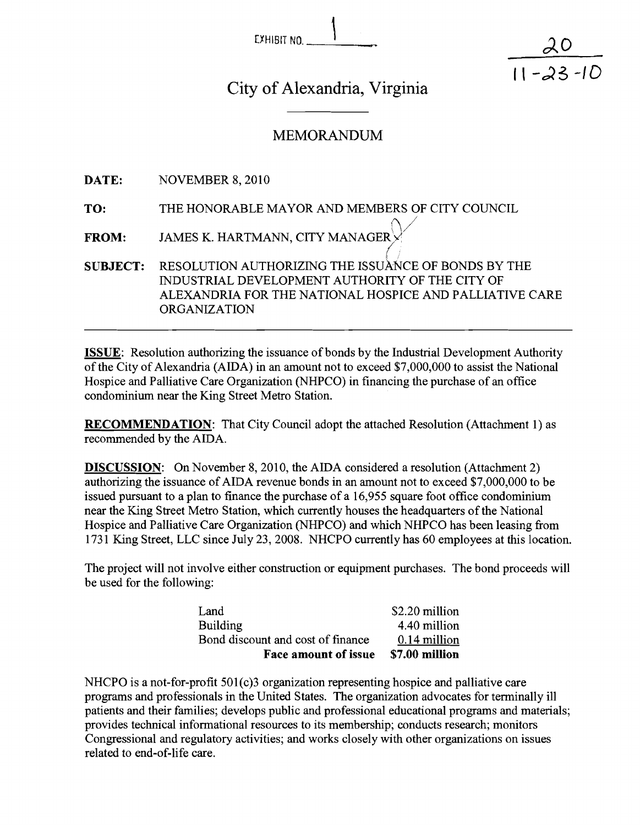| EXHIBIT NO. |  |  |
|-------------|--|--|

 $11 - 23 - 10$ 

City of Alexandria, Virginia

 $\overline{\mathbf{I}}$ 

# **MEMORANDUM**

**DATE:** NOVEMBER 8, 2010

- **TO:** THE HONORABLE MAYOR AND MEMBERS OF CITY COUNCIL
- **FROM:** JAMES K. HARTMANN, CITY MANAGER<br> **SUBJECT:** RESOLUTION AUTHORIZING THE ISSUATE

RESOLUTION AUTHORIZING THE ISSUANCE OF BONDS BY THE INDUSTRIAL DEVELOPMENT AUTHORITY OF THE CITY OF ALEXANDRIA FOR THE NATIONAL HOSPICE AND PALLIATIVE CARE ORGANIZATION

**ISSUE:** Resolution authorizing the issuance of bonds by the Industrial Development Authority of the City of Alexandria (AIDA) in an amount not to exceed \$7,000,000 to assist the National Hospice and Palliative Care Organization (NHPCO) in financing the purchase of an office condominium near the King Street Metro Station.

**RECOMMENDATION:** That City Council adopt the attached Resolution (Attachment 1) as recommended by the AIDA.

**DISCUSSION:** On November 8, 2010, the AIDA considered a resolution (Attachment 2) authorizing the issuance of AIDA revenue bonds in an amount not to exceed \$7,000,000 to be issued pursuant to a plan to finance the purchase of a 16,955 square foot office condominium near the King Street Metro Station, which currently houses the headquarters of the National Hospice and Palliative Care Organization (NHPCO) and which NHPCO has been leasing from 1731 King Street, LLC since July 23, 2008. NHCPO currently has 60 employees at this location.

The project will not involve either construction or equipment purchases. The bond proceeds will be used for the following:

| Land                              | \$2.20 million |
|-----------------------------------|----------------|
| <b>Building</b>                   | 4.40 million   |
| Bond discount and cost of finance | 0.14 million   |
| <b>Face amount of issue</b>       | \$7.00 million |

NHCPO is a not-for-profit 501(c)3 organization representing hospice and palliative care programs and professionals in the United States. The organization advocates for terminally ill patients and their families; develops public and professional educational programs and materials; provides technical informational resources to its membership; conducts research; monitors Congressional and regulatory activities; and works closely with other organizations on issues related to end-of-life care.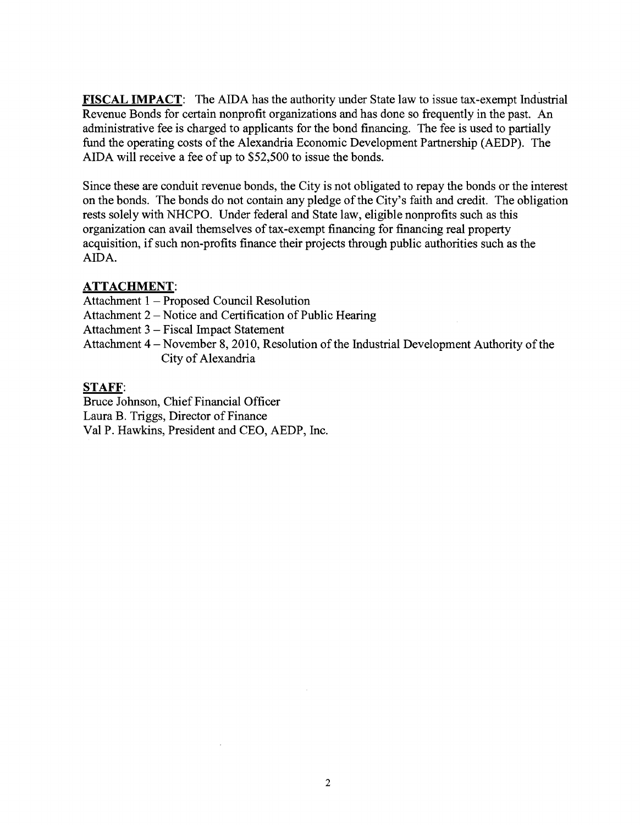**FISCAL IMPACT:** The AIDA has the authority under State law to issue tax-exempt Industrial Revenue Bonds for certain nonprofit organizations and has done so frequently in the past. An administrative fee is charged to applicants for the bond financing. The fee is used to partially fund the operating costs of the Alexandria Economic Development Partnership (AEDP). The AIDA will receive a fee of up to \$52,500 to issue the bonds.

Since these are conduit revenue bonds, the City is not obligated to repay the bonds or the interest on the bonds. The bonds do not contain any pledge of the City's faith and credit. The obligation rests solely with NHCPO. Under federal and State law, eligible nonprofits such as this organization can avail themselves of tax-exempt financing for financing real property acquisition, if such non-profits finance their projects through public authorities such as the AIDA.

## **ATTACHMENT:**

Attachment 1 - Proposed Council Resolution

Attachment 2 – Notice and Certification of Public Hearing

Attachment 3 - Fiscal Impact Statement

Attachment 4 - November 8,2010, Resolution of the Industrial Development Authority of the City of Alexandria

## **STAFF:**

Bruce Johnson, Chief Financial Officer Laura B. Triggs, Director of Finance Val P. Hawkins, President and CEO, AEDP, Inc.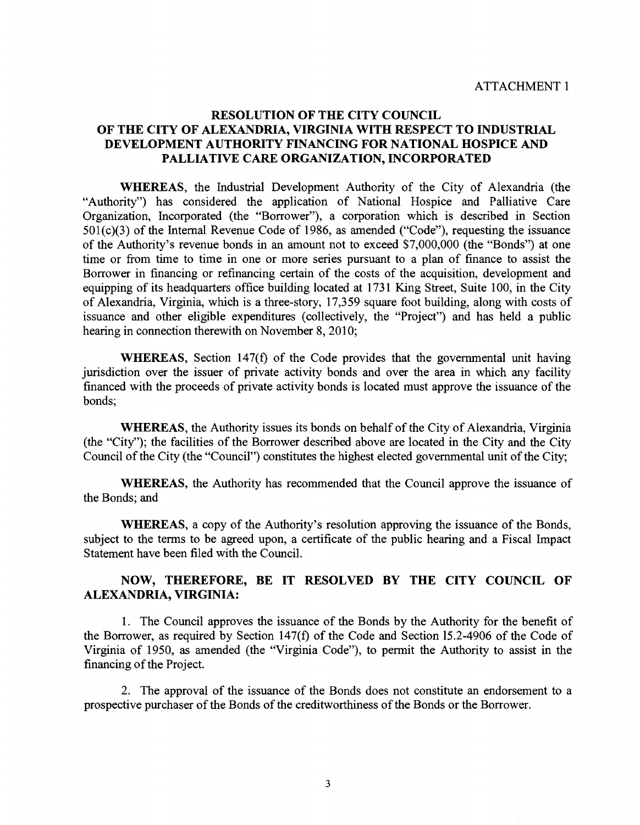## RESOLUTION OF THE CITY COUNCIL OF THE CITY OF ALEXANDRIA, VIRGINIA WITH RESPECT TO INDUSTRIAL DEVELOPMENT AUTHORITY FINANCING FOR NATIONAL HOSPICE AND PALLIATIVE CARE ORGANIZATION, INCORPORATED

WHEREAS, the Industrial Development Authority of the City of Alexandria (the "Authority") has considered the application of National Hospice and Palliative Care Organization, Incorporated (the "Borrower"), a corporation which is described in Section 501 (c)(3) of the Internal Revenue Code of 1986, as amended ("Code"), requesting the issuance of the Authority's revenue bonds in an amount not to exceed \$7,000,000 (the "Bonds") at one time or from time to time in one or more series pursuant to a plan of finance to assist the Borrower in financing or refinancing certain of the costs of the acquisition, development and equipping of its headquarters office building located at 1731 King Street, Suite 100, in the City of Alexandria, Virginia, which is a three-story, 17,359 square foot building, along with costs of issuance and other eligible expenditures (collectively, the "Project") and has held a public hearing in connection therewith on November 8, 2010;

WHEREAS, Section 147(f) of the Code provides that the governmental unit having jurisdiction over the issuer of private activity bonds and over the area in which any facility financed with the proceeds of private activity bonds is located must approve the issuance of the bonds;

WHEREAS, the Authority issues its bonds on behalf of the City of Alexandria, Virginia (the "City"); the facilities of the Borrower described above are located in the City and the City Council of the City (the "Council") constitutes the highest elected governmental unit of the City;

WHEREAS, the Authority has recommended that the Council approve the issuance of the Bonds; and

WHEREAS, a copy of the Authority's resolution approving the issuance of the Bonds, subject to the terms to be agreed upon, a certificate of the public hearing and a Fiscal Impact Statement have been filed with the Council.

### NOW, THEREFORE, BE IT RESOLVED BY THE CITY COUNCIL OF ALEXANDRIA, VIRGINIA:

1. The Council approves the issuance of the Bonds by the Authority for the benefit of the Borrower, as required by Section 147(f) of the Code and Section 15.2-4906 of the Code of Virginia of 1950, as amended (the "Virginia Code"), to permit the Authority to assist in the financing of the Project.

2. The approval of the issuance of the Bonds does not constitute an endorsement to a prospective purchaser of the Bonds of the creditworthiness of the Bonds or the Borrower.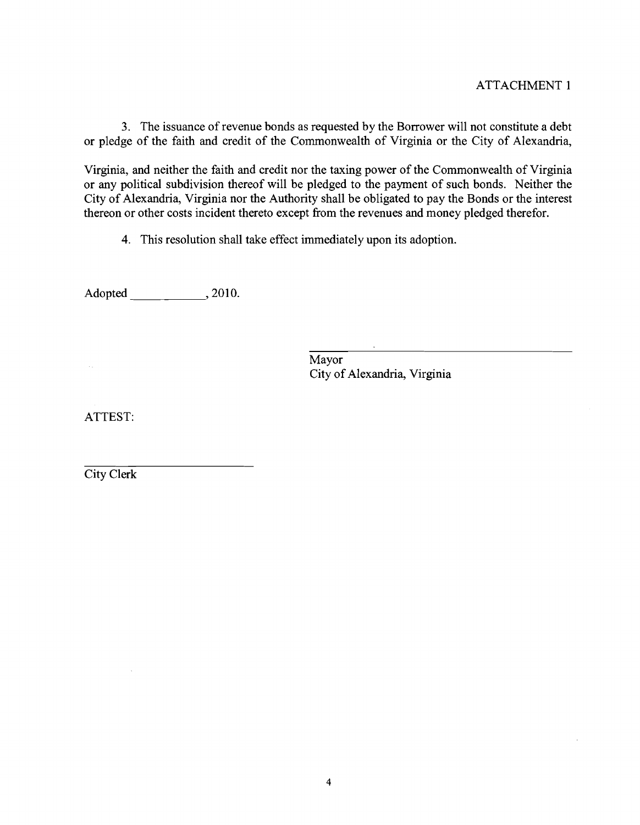### ATTACHMENT 1

**3.** The issuance of revenue bonds as requested by the Borrower will not constitute a debt or pledge of the faith and credit of the Commonwealth of Virginia or the City of Alexandria,

Virginia, and neither the faith and credit nor the taxing power of the Commonwealth of Virginia or any political subdivision thereof will be pledged to the payment of such bonds. Neither the City of Alexandria, Virginia nor the Authority shall be obligated to pay the Bonds or the interest thereon or other costs incident thereto except from the revenues and money pledged therefor.

4. This resolution shall take effect immediately upon its adoption.

Adopted \_\_\_\_\_\_\_\_\_\_\_\_\_\_\_, 2010.

Mayor City of Alexandria, Virginia

ATTEST:

City Clerk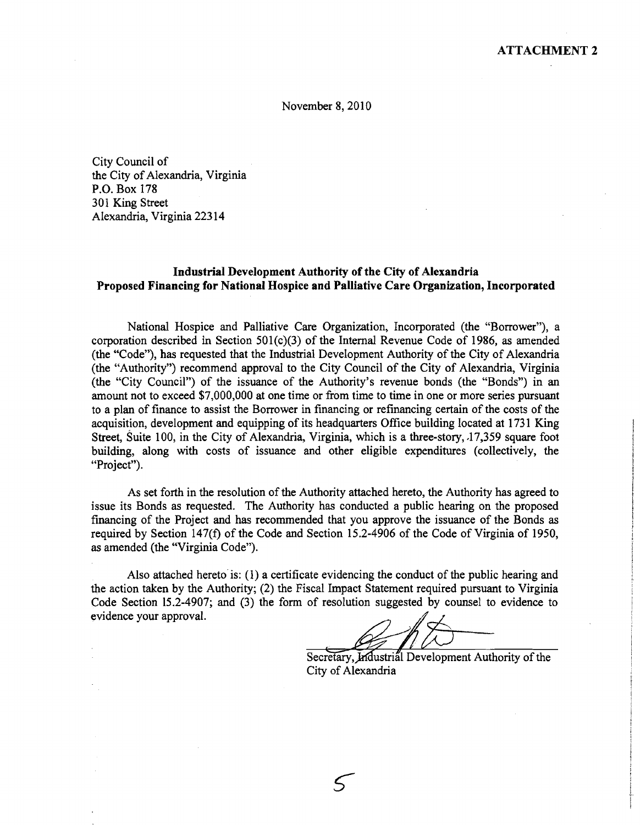November 8, 2010

City Council of the City of Alexandria, Virginia P.O. Box 178 301 King Street Alexandria, Virginia 223 14

### **Industrial Development Authority of the City of Alexandria Proposed Financing for National Hospice and Palliative Care Organization, Incorporated**

National Hospice and Palliative Care Organization, Incorporated (the "Borrower"), a corporation described in Section 501(c)(3) of the Internal Revenue Code of 1986, as amended (the "Code"), has requested that the Industrial Development Authority of the City of Alexandria (the "Authority") recommend approval to the City Council of the City of Alexandria, Virginia (the "City Council") of the issuance of the Authority's revenue bonds (the "Bonds") in an amount not to exceed \$7,000,000 at one time or from time to time in one or more series pursuant to a plan of finance to assist the Borrower in financing or refinancing certain of the costs of the acquisition, development and equipping of its headquarters Office building located at 1731 King Street, Suite 100, in the City of Alexandria, Virginia, which is a three-story, 17,359 square foot building, along with costs of issuance and other eligible expenditures (collectively, the "Project"). Namonal Hospites and Palinter Care Organization, incorporated (the "Horstower"), and (the increase"), are compared to the City of Alexandria (the "Authority") recommend approval to the City Council of the City of Alexandr

As set forth in the resolution of the Authority attached hereto, the Authority has agreed to issue its Bonds as requested. The Authority has conducted a public hearing on the proposed financing of the Project and has recommended that you approve the issuance of the Bonds as required by Section 147(f) of the Code and Section 15.2-4906 of the Code of Virginia of 1950, as amended (the "Virginia Code").

Also attached hereto is: (1) a certificate evidencing the conduct of the public hearing and the action taken by the Authority; (2) the Fiscal Impact Statement required pursuant to Virginia Code Section 15.2-4907; and (3) the form of resolution suggested by counsel to evidence to evidence your approval.

 $\varsigma$ 

City of Alexandria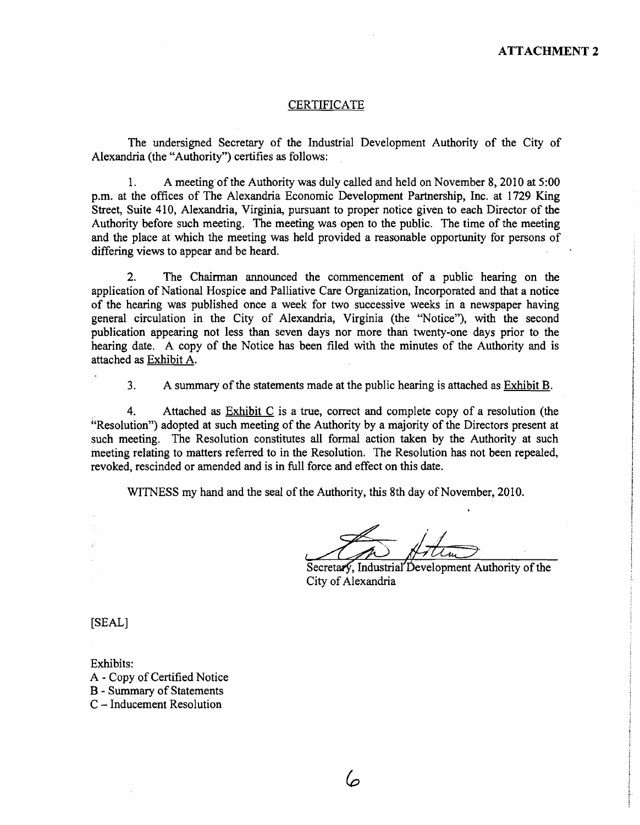#### CERTIFICATE

The undersigned Secretary of the Industrial Development Authority of the City of Alexandria (the "Authority") certifies as follows:

1. A meeting of the Authority was duly called and held on November 8,2010 at 5:00 p.m. at the offices of The Alexandria Economic Development Partnership, Inc. at 1729 King Street, Suite 410, Alexandria, Virginia, pursuant to proper notice given to each Director of the Authority before such meeting. The meeting was open to the public. The time of the meeting and the place at which the meeting was held provided a reasonable opportunity for persons of differing views to appear and be heard.

2. The Chairman announced the commencement of a public hearing on the application of National Hospice and Palliative Care Organization, Incorporated and that a notice of the hearing was published once a week for two successive weeks in a newspaper having general circulation in the City of Alexandria, Virginia (the "Notice"), with the second publication appearing not less than seven days nor more than twenty-one days prior to the hearing date. A copy of the Notice has been filed with the minutes of the Authority and is attached as Exhibit A.

**3.** A summary of the statements made at the public hearing is attached as Exhibit B.

4. Attached as Exhibit C is a true, correct and complete copy of a resolution (the "Resolution") adopted at such meeting of the Authority by a majority of the Directors present at such meeting. The Resolution constitutes all formal action taken by the Authority at such meeting relating to matters referred to in the Resolution. The Resolution has not been repealed, revoked, rescinded or amended and is in full force and effect on this date.

WITNESS my hand and the seal of the Authority, this 8th day of November, 2010.

6

( Secretary, Industrial'Development Authority of the City of Alexandria

[SEAL]

Exhibits: A - Copy of Certified Notice **3** - Summary of Statements C - Inducement Resolution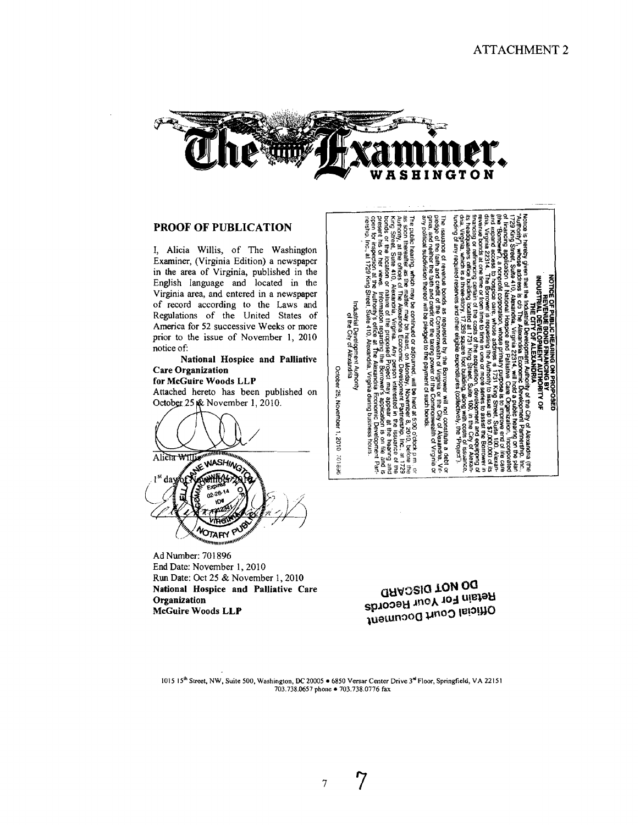ន្ត

**DEOSED** 

in or

 $\Omega$ 

<u>इं</u> हे डूं

g ٥

ã

revenue

nue bonds<br>1 credit of 1<br>1 credit of 1 eserves

ãã å

requested by the<br>Commonwealth of

BACTOWE

죌 쿦  $\frac{1}{2}$ bonds.

manco

ខ្≦្គី

ă

និង ក្នុង គួន គួ

Ĕ lute a debt<br>Iexandria. V<br>1 of Virginia 들

홎

the faith and credit of<br>neither the faith and c<br>al subdivision thereof

g

ed to the or adjourned ã

payment of such

ξā

g which may be of the state of the state of the state of the state of the state of the state of the state of the state of the state of the state of the state of the state of the state of the state of the state of the state

g

be held at 5:00 o'clock<br>November 8, 2010, be

ਮੁੱਖ p.m.<br>before

ន្ត ទី ទី<br>ឆ្នាំ ទី

읧

õ 

₹



#### **PROOF OF PUBLICATION**

I, Alicia Willis, of The Washington Examiner, (Virginia Edition) a newspaper in the area of Virginia, published in the English language and located in the Virginia area, and entered in a newspaper of record according to the Laws and Regulations of the United States of America for 52 successive Weeks or more prior to the issue of November **1, 2010**  notice of:

#### **National Hospice and Palliative Care Organization**

#### **for McGuire Woods LLP**

Attached hereto has been published on October 25  $\&$  November 1, 2010.



Ad Number: **701** 896 End Date: November 1, 2010 **Run** Date: Oct **25** & November **1,2010 National Hospice and Palliative Care Organization McGuire Woods LLp** 

**a~wosla ION oa Retain For Your Records luamnaoa ~"03 lu!'!JJO** 

**1015 15' Street, NW, Suite 500, Washington, DC20005 6850 Versar Center Drive 3dFloor, Springfield, VA 22151 703.738.0657 phone 703.738.0776 fax** 

Lustrial Development Authority<br>of the City of Alexandria October 25, November 1, 2010 701896

 $rac{4}{5}$ 

**Butun** 



 $\overline{7}$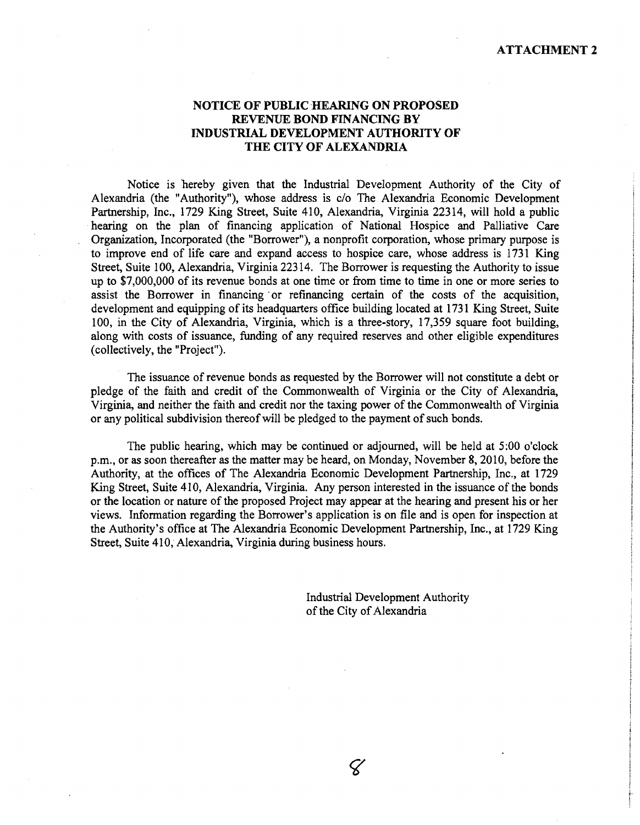#### **NOTICE OF PUBLIC HEARING ON PROPOSED REVENUE BOND FINANCING BY INDUSTRIAL DEVELOPMENT AUTHORITY OF THE CITY OF ALEXANDRIA**

Notice is hereby given that the Industrial Development Authority of the City of Alexandria (the "Authority"), whose address is c/o The Alexandria Economic Development Partnership, Inc., 1729 King Street, Suite 410, Alexandria, Virginia 22314, will hold a public hearing on the plan of financing application of National Hospice and Palliative Care Organization, Incorporated (the "Borrower"), a nonprofit corporation, whose primary purpose is to improve end of life care and expand access to hospice care, whose address is 1731 King Street, Suite 100, Alexandria, Virginia 223 14. The Borrower is requesting the Authority to issue up to \$7,000,000 of its revenue bonds at one time or fiom time to time in one or more series to assist the Borrower in financing 'or refinancing certain of the costs of the acquisition, development and equipping of its headquarters office building located at 1731 King Street, Suite 100, in the City of Alexandria, Virginia, which is a three-story, 17,359 square foot building, along with costs of issuance, funding of any required reserves and other eligible expenditures (collectively, the "Project").

The issuance of revenue bonds as requested by the Borrower will not constitute a debt or pledge of the faith and credit of the Commonwealth of Virginia or the City of Alexandria, Virginia, and neither the faith and credit nor the taxing power of the Commonwealth of Virginia or any political subdivision thereof will be pledged to the payment of such bonds.

The public hearing, which may be continued or adjourned, will be held at 5:00 o'clock p.m., or as soon thereafter as the matter may be heard, on Monday, November 8,20 10, before the Authority, at the offices of The Alexandria Economic Development Partnership, Inc., at 1729 King Street, Suite 410, Alexandria, Virginia. Any person interested in the issuance of the bonds or the location or nature of the proposed Project may appear at the hearing and present his or her views. Information regarding the Borrower's application is on file and is open for inspection at the Authority's office at The Alexandria Economic Development Partnership, Inc., at 1729 King Street, Suite 410; Alexandria, Virginia during business hours.

> Industrial Development Authority of the City of Alexandria

> > $\varsigma$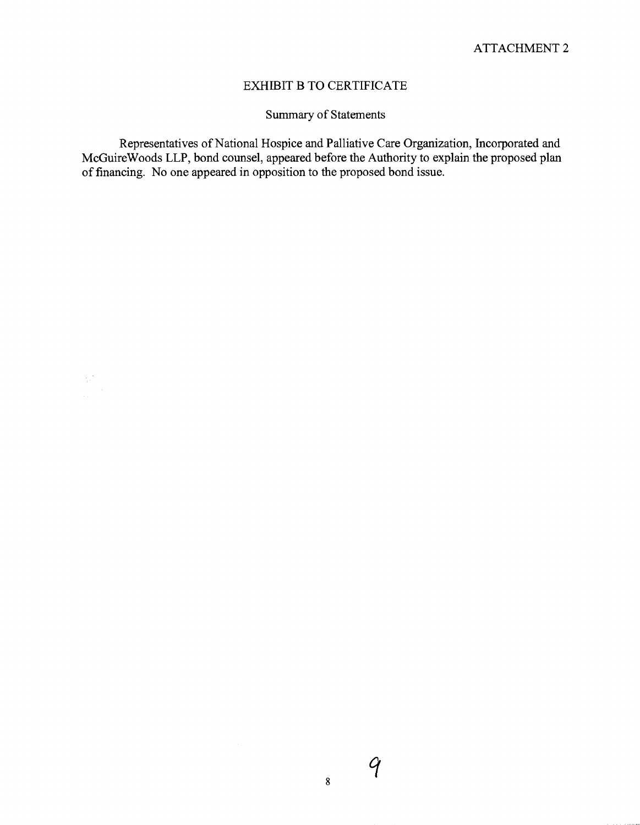## EXHIBIT B TO CERTIFICATE

Summary of Statements

Representatives of National Hospice and Palliative Care Organization, Incorporated and McGuireWoods LLP, bond counsel, appeared before the Authority to explain the proposed plan of financing. No one appeared in opposition to the proposed bond issue.

 $\frac{1}{\lambda^2}$ 

 $\boldsymbol{8}$ 

 $\mathcal{G}$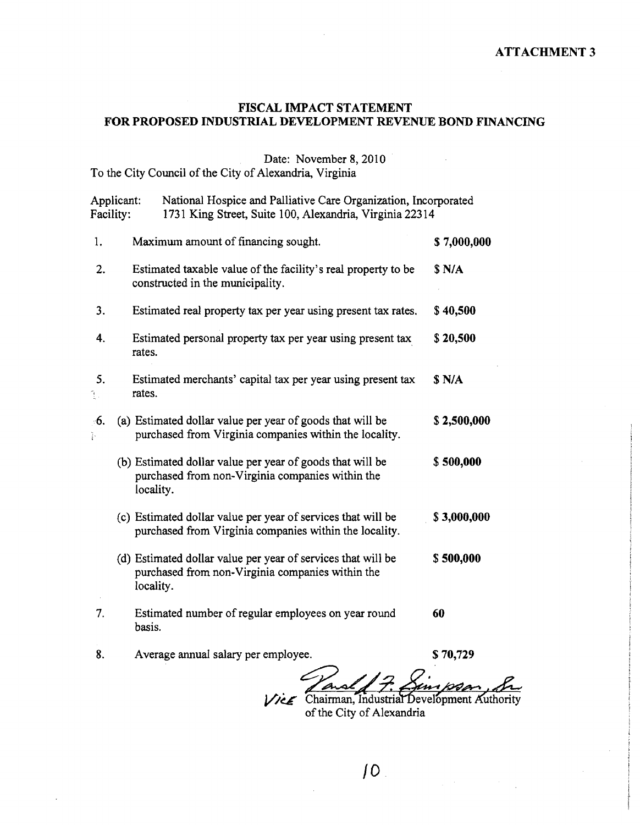### **ATTACHMENT 3**

## **FISCAL IMPACT STATEMENT**  FOR PROPOSED INDUSTRIAL DEVELOPMENT REVENUE BOND FINANCING

# Date: November 8, 2010

To the City Council of the City of Alexandria, Virginia

|                                  | National Hospice and Palliative Care Organization, Incorporated<br>Applicant:<br>Facility:<br>1731 King Street, Suite 100, Alexandria, Virginia 22314 |                                                                                                                               |             |
|----------------------------------|-------------------------------------------------------------------------------------------------------------------------------------------------------|-------------------------------------------------------------------------------------------------------------------------------|-------------|
| 1.                               |                                                                                                                                                       | Maximum amount of financing sought.                                                                                           | \$7,000,000 |
| 2.                               |                                                                                                                                                       | Estimated taxable value of the facility's real property to be<br>constructed in the municipality.                             | \$ N/A      |
| 3.                               |                                                                                                                                                       | Estimated real property tax per year using present tax rates.                                                                 | \$40,500    |
| 4.                               |                                                                                                                                                       | Estimated personal property tax per year using present tax<br>rates.                                                          | \$20,500    |
| 5.<br>$\frac{\gamma}{\lambda}$ . |                                                                                                                                                       | Estimated merchants' capital tax per year using present tax<br>rates.                                                         | S N/A       |
| 6.<br>Þ                          |                                                                                                                                                       | (a) Estimated dollar value per year of goods that will be<br>purchased from Virginia companies within the locality.           | \$2,500,000 |
|                                  |                                                                                                                                                       | (b) Estimated dollar value per year of goods that will be<br>purchased from non-Virginia companies within the<br>locality.    | \$500,000   |
|                                  |                                                                                                                                                       | (c) Estimated dollar value per year of services that will be<br>purchased from Virginia companies within the locality.        | \$3,000,000 |
|                                  |                                                                                                                                                       | (d) Estimated dollar value per year of services that will be<br>purchased from non-Virginia companies within the<br>locality. | \$500,000   |
| 7.                               |                                                                                                                                                       | Estimated number of regular employees on year round<br>basis.                                                                 | 60          |
| 8.                               |                                                                                                                                                       | Average annual salary per employee.                                                                                           | \$70,729    |

Vice Chairman, Industrial Development Authority<br>of the City of Alexandria

 $10<sub>1</sub>$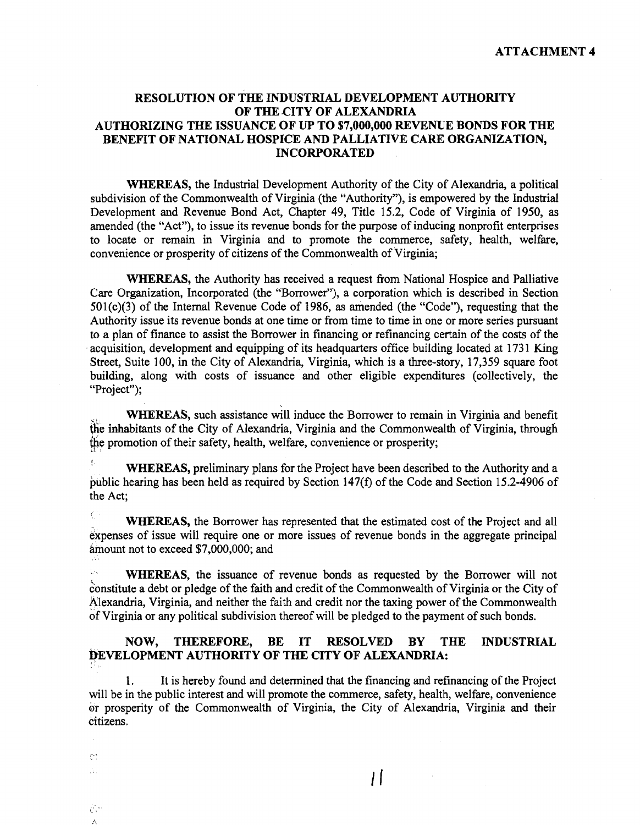**ATTACHMENT 4** 

### **RESOLUTION OF THE INDUSTRIAL DEVELOPMENT AUTHORITY OF THE CITY OF ALEXANDRIA**  AUTHORIZING THE ISSUANCE OF UP TO \$7,000,000 REVENUE BONDS FOR THE **BENEFIT OF NATIONAL HOSPICE AND PALLIATIVE CARE ORGANIZATION, INCORPORATED**

**WHEREAS,** the Industrial Development Authority of the City of Alexandria, a political subdivision of the Commonwealth of Virginia (the "Authority"), is empowered by the Industrial Development and Revenue Bond Act, Chapter 49, Title 15.2, Code of Virginia of 1950, as amended (the "Act"), to issue its revenue bonds for the purpose of inducing nonprofit enterprises to locate or remain in Virginia and to promote the commerce, safety, health, welfare, convenience or prosperity of citizens of the Commonwealth of Virginia;

**WHEREAS,** the Authority has received a request from National Hospice and Palliative Care Organization, Incorporated (the "Borrower"), a corporation which is described in Section 501(c)(3) of the Internal Revenue Code of 1986, as amended (the "Code"), requesting that the Authority issue its revenue bonds at one time or from time to time in one or more series pursuant to a plan of finance to assist the Borrower in financing or refinancing certain of the costs of the acquisition, development and equipping of its headquarters office building located at 1731 King Street, Suite 100, in the City of Alexandria, Virginia, which is a three-story, 17,359 square foot building, along with costs of issuance and other eligible expenditures (collectively, the "Project":

**WHEREAS,** such assistance will induce the Borrower to remain in Virginia and benefit  $\phi$  the inhabitants of the City of Alexandria, Virginia and the Commonwealth of Virginia, through the promotion of their safety, health, welfare, convenience or prosperity;

! **WHEREAS,** preliminary plans for the Project have been described to the Authority and a public hearing has been held as required by Section 147(f) of the Code and Section 15.2-4906 of the Act;

**WHEREAS,** the Borrower has represented that the estimated cost of the Project and all expenses of issue will require one or more issues of revenue bonds in the aggregate principal amount not to exceed \$7,000,000; and

**WHEREAS,** the issuance of revenue bonds as requested by the Borrower will not constitute a debt or pledge of the faith and credit of the Commonwealth of Virginia or the City of Alexandria, Virginia, and neither the faith and credit nor the taxing power of the Commonwealth of virginia or any political subdivision thereof will be pledged to the payment of such bonds.

#### **NOW, THEREFORE, BE IT RESOLVED BY THE INDUSTRIAL DEVELOPMENT AUTHORITY OF THE CITY OF ALEXANDRIA:**

1. It is hereby found and determined that the financing and refinancing of the Project will be in the public interest and will promote the commerce, safety, health, welfare, convenience or prosperity of the Commonwealth of Virginia, the City of Alexandria, Virginia and their citizens.

 $\overline{1}$ 

 $\mu$  . Ŵ.

 $\hat{C}^{(1)}_A$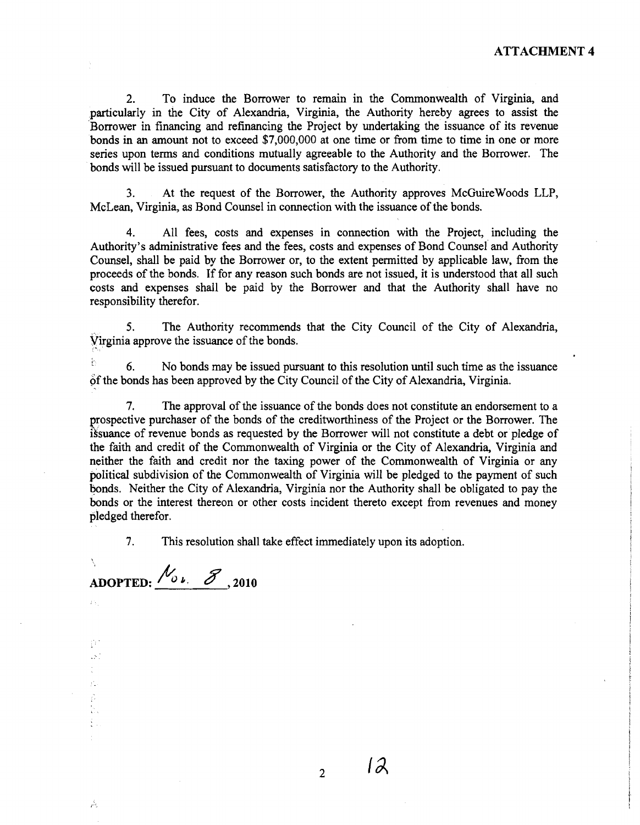2. To induce the Borrower to remain in the Commonwealth of Virginia, and particularly in the City of Alexandria, Virginia, the Authority hereby agrees to assist the Borrower in financing and refinancing the Project by undertaking the issuance of its revenue bonds in an amount not to exceed \$7,000,000 at one time or from time to time in one or more series upon terms and conditions mutually agreeable to the Authority and the Borrower. The bonds will be issued pursuant to documents satisfactory to the Authority.

**3.** At the request of the Borrower, the Authority approves McGuireWoods LLP, McLean, Virginia, as Bond Counsel in connection with the issuance of the bonds.

**4.** All fees, costs and expenses in connection with the Project, including the Authority's administrative fees and the fees, costs and expenses of Bond Counsel' and Authority Counsel, shall be paid by the Borrower or, to the extent permitted by applicable law, from the proceeds of the bonds. If for any reason such bonds are not issued, it is understood that all such costs and expenses shall be paid by the Borrower and that the Authority shall have no responsibility therefor.

**5.** The Authority recommends that the City Council of the City of Alexandria, Virginia approve the issuance of the bonds.

*6.* No bonds may be issued pursuant to this resolution until such time as the issuance of the bonds has been approved by the City Council of the City of Alexandria, Virginia.

7. The approval of the issuance of the bonds does not constitute an endorsement to a prospective purchaser of the bonds of the creditworthiness of the Project or the Borrower. The issuance of revenue bonds as requested by the Borrower will not constitute a debt or pledge of the faith and credit of the Commonwealth of Virginia or the City of Alexandria, Virginia and neither the faith and credit nor the taxing power of the Commonwealth of Virginia or any political subdivision of the Commonwealth of Virginia will be pledged to the payment of such bonds. Neither the City of Alexandria, Virginia nor the Authority shall be obligated to pay the bonds or the interest thereon or other costs incident thereto except from revenues and money pledged therefor.

**7.** This resolution shall take effect immediately upon its adoption.

\, ADOPTED:  $N_{0,k}$   $\mathscr{S}_{,2010}$ 

 $\mathcal{F}^{\mathcal{A}}$ 

 $\overline{2}$ 

 $12$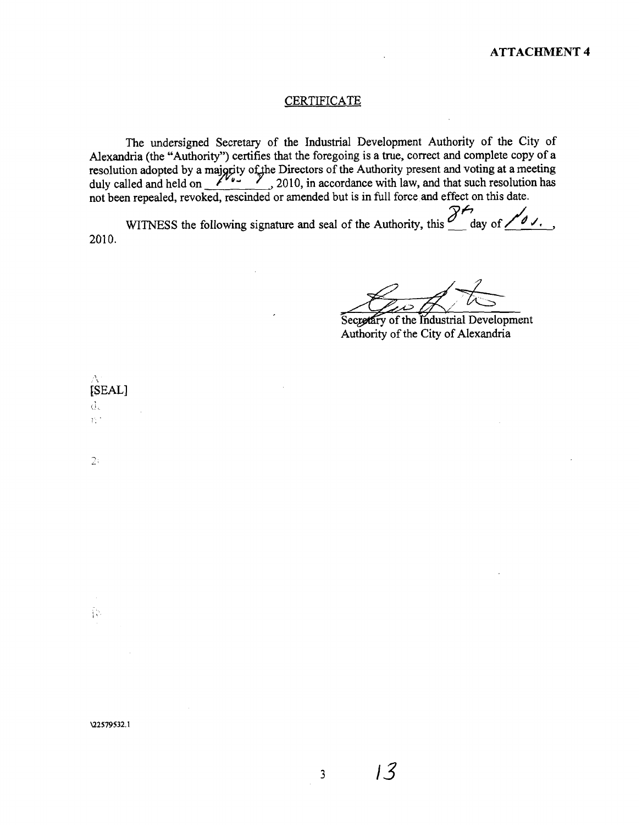#### **CERTIFICATE**

The undersigned Secretary of the Industrial Development Authority of the City of Alexandria (the "Authority") certifies that the foregoing is a true, correct and complete copy of a esolution adopted by a majority of the Directors of the Authority present and voting at a meeting duly called and held on 2010, in accordance with law, and that such resolution has not been repealed, revoked, rescinded or amended but is in full force and effect on this date.

WITNESS the following signature and seal of the Authority, this  $\frac{\partial^2 f}{\partial y \partial x}$  day of  $\frac{\partial^2 f}{\partial y \partial y}$ . 2010.

Secretary of the Industrial Development Authority of the City of Alexandria

[SEAL]  $\mathbf{d}_k$  $\tilde{\Omega}^{(1)}$ 

 $2:$ 

ήķ.

 $13$